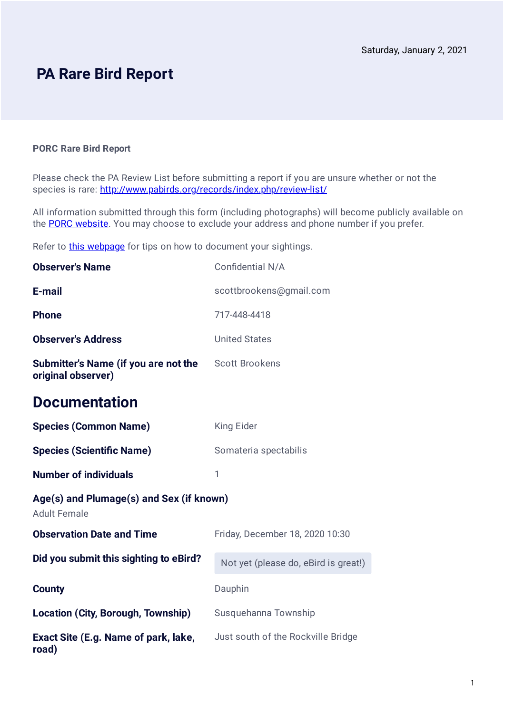## **PA Rare Bird Report**

#### **PORC Rare Bird Report**

Please check the PA Review List before submitting a report if you are unsure whether or not the species is rare: <http://www.pabirds.org/records/index.php/review-list/>

All information submitted through this form (including photographs) will become publicly available on the **PORC website**. You may choose to exclude your address and phone number if you prefer.

Refer to [this webpage](https://pabirds.org/records/index.php/documenting-rarities/) for tips on how to document your sightings.

| <b>Observer's Name</b>                                          | Confidential N/A                     |
|-----------------------------------------------------------------|--------------------------------------|
| E-mail                                                          | scottbrookens@gmail.com              |
| <b>Phone</b>                                                    | 717-448-4418                         |
| <b>Observer's Address</b>                                       | <b>United States</b>                 |
| Submitter's Name (if you are not the<br>original observer)      | <b>Scott Brookens</b>                |
| <b>Documentation</b>                                            |                                      |
| <b>Species (Common Name)</b>                                    | <b>King Eider</b>                    |
| <b>Species (Scientific Name)</b>                                | Somateria spectabilis                |
| <b>Number of individuals</b>                                    | 1                                    |
| Age(s) and Plumage(s) and Sex (if known)<br><b>Adult Female</b> |                                      |
| <b>Observation Date and Time</b>                                | Friday, December 18, 2020 10:30      |
| Did you submit this sighting to eBird?                          | Not yet (please do, eBird is great!) |
| <b>County</b>                                                   | Dauphin                              |
| Location (City, Borough, Township)                              | Susquehanna Township                 |
| Exact Site (E.g. Name of park, lake,<br>road)                   | Just south of the Rockville Bridge   |